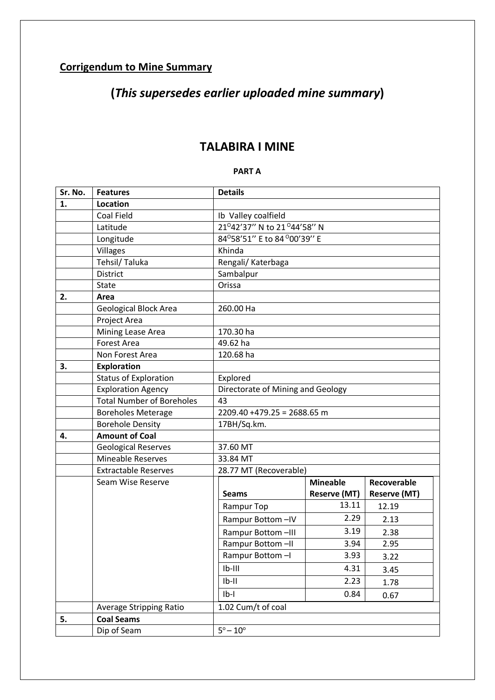## **Corrigendum to Mine Summary**

# **(***This supersedes earlier uploaded mine summary***)**

## **TALABIRA I MINE**

#### **PART A**

| Sr. No. | <b>Features</b>                  | <b>Details</b>                    |                     |                     |
|---------|----------------------------------|-----------------------------------|---------------------|---------------------|
| 1.      | Location                         |                                   |                     |                     |
|         | Coal Field                       | Ib Valley coalfield               |                     |                     |
|         | Latitude                         | 21°42'37" N to 21°44'58" N        |                     |                     |
|         | Longitude                        | 84°58'51" E to 84 °00'39" E       |                     |                     |
|         | Villages                         | Khinda                            |                     |                     |
|         | Tehsil/Taluka                    | Rengali/ Katerbaga                |                     |                     |
|         | <b>District</b>                  | Sambalpur                         |                     |                     |
|         | <b>State</b>                     | Orissa                            |                     |                     |
| 2.      | Area                             |                                   |                     |                     |
|         | <b>Geological Block Area</b>     | 260.00 Ha                         |                     |                     |
|         | Project Area                     |                                   |                     |                     |
|         | Mining Lease Area                | 170.30 ha                         |                     |                     |
|         | <b>Forest Area</b>               | 49.62 ha                          |                     |                     |
|         | Non Forest Area                  | 120.68 ha                         |                     |                     |
| 3.      | Exploration                      |                                   |                     |                     |
|         | <b>Status of Exploration</b>     | Explored                          |                     |                     |
|         | <b>Exploration Agency</b>        | Directorate of Mining and Geology |                     |                     |
|         | <b>Total Number of Boreholes</b> | 43                                |                     |                     |
|         | <b>Boreholes Meterage</b>        | $2209.40 + 479.25 = 2688.65$ m    |                     |                     |
|         | <b>Borehole Density</b>          | 17BH/Sq.km.                       |                     |                     |
| 4.      | <b>Amount of Coal</b>            |                                   |                     |                     |
|         | <b>Geological Reserves</b>       | 37.60 MT                          |                     |                     |
|         | <b>Mineable Reserves</b>         | 33.84 MT                          |                     |                     |
|         | <b>Extractable Reserves</b>      | 28.77 MT (Recoverable)            |                     |                     |
|         | Seam Wise Reserve                |                                   | <b>Mineable</b>     | Recoverable         |
|         |                                  | <b>Seams</b>                      | <b>Reserve (MT)</b> | <b>Reserve (MT)</b> |
|         |                                  | Rampur Top                        | 13.11               | 12.19               |
|         |                                  | Rampur Bottom-IV                  | 2.29                | 2.13                |
|         |                                  | Rampur Bottom-III                 | 3.19                | 2.38                |
|         |                                  | Rampur Bottom-II                  | 3.94                | 2.95                |
|         |                                  | Rampur Bottom-I                   | 3.93                | 3.22                |
|         |                                  | $Ib-III$                          | 4.31                | 3.45                |
|         |                                  | $Ib-II$                           | 2.23                | 1.78                |
|         |                                  | $Ib-I$                            | 0.84                | 0.67                |
|         | Average Stripping Ratio          | 1.02 Cum/t of coal                |                     |                     |
| 5.      | <b>Coal Seams</b>                |                                   |                     |                     |
|         | Dip of Seam                      | $5^{\circ} - 10^{\circ}$          |                     |                     |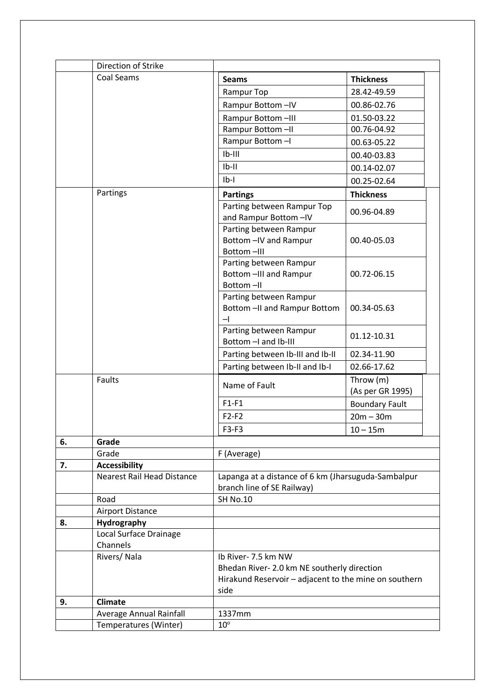|    | Direction of Strike               |                                                                                   |                                             |  |
|----|-----------------------------------|-----------------------------------------------------------------------------------|---------------------------------------------|--|
|    | Coal Seams                        | <b>Seams</b>                                                                      | <b>Thickness</b>                            |  |
|    |                                   | Rampur Top                                                                        | 28.42-49.59                                 |  |
|    |                                   | Rampur Bottom-IV                                                                  | 00.86-02.76                                 |  |
|    |                                   | Rampur Bottom-III                                                                 | 01.50-03.22                                 |  |
|    |                                   | Rampur Bottom-II                                                                  | 00.76-04.92                                 |  |
|    |                                   | Rampur Bottom-I                                                                   | 00.63-05.22                                 |  |
|    |                                   | $Ib-III$                                                                          | 00.40-03.83                                 |  |
|    |                                   | $Ib-II$                                                                           | 00.14-02.07                                 |  |
|    |                                   | $Ib-I$                                                                            | 00.25-02.64                                 |  |
|    | Partings                          | <b>Partings</b>                                                                   | <b>Thickness</b>                            |  |
|    |                                   | Parting between Rampur Top<br>and Rampur Bottom-IV                                | 00.96-04.89                                 |  |
|    |                                   | Parting between Rampur<br>Bottom - IV and Rampur<br>Bottom-III                    | 00.40-05.03                                 |  |
|    |                                   | Parting between Rampur<br>Bottom -III and Rampur<br>Bottom-II                     | 00.72-06.15                                 |  |
|    |                                   | Parting between Rampur<br>Bottom -II and Rampur Bottom<br>–∣                      | 00.34-05.63                                 |  |
|    |                                   | Parting between Rampur<br>Bottom - I and Ib-III                                   | 01.12-10.31                                 |  |
|    |                                   | Parting between Ib-III and Ib-II                                                  | 02.34-11.90                                 |  |
|    |                                   | Parting between Ib-II and Ib-I                                                    | 02.66-17.62                                 |  |
|    | Faults                            | Name of Fault                                                                     | Throw (m)<br>(As per GR 1995)               |  |
|    |                                   | $F1-F1$                                                                           | <b>Boundary Fault</b>                       |  |
|    |                                   | $F2-F2$                                                                           | $20m - 30m$                                 |  |
|    |                                   | F3-F3                                                                             | $10 - 15m$                                  |  |
| 6. | Grade                             |                                                                                   |                                             |  |
|    | Grade                             | F (Average)                                                                       |                                             |  |
| 7. | <b>Accessibility</b>              |                                                                                   |                                             |  |
|    | <b>Nearest Rail Head Distance</b> | Lapanga at a distance of 6 km (Jharsuguda-Sambalpur<br>branch line of SE Railway) |                                             |  |
|    | Road                              | <b>SH No.10</b>                                                                   |                                             |  |
|    | <b>Airport Distance</b>           |                                                                                   |                                             |  |
| 8. | Hydrography                       |                                                                                   |                                             |  |
|    | Local Surface Drainage            |                                                                                   |                                             |  |
|    | Channels<br>Rivers/Nala           | Ib River- 7.5 km NW                                                               |                                             |  |
|    |                                   |                                                                                   | Bhedan River- 2.0 km NE southerly direction |  |
|    |                                   | Hirakund Reservoir - adjacent to the mine on southern                             |                                             |  |
|    |                                   | side                                                                              |                                             |  |
| 9. | Climate                           |                                                                                   |                                             |  |
|    | Average Annual Rainfall           | 1337mm                                                                            |                                             |  |
|    | Temperatures (Winter)             | $10^{\circ}$                                                                      |                                             |  |